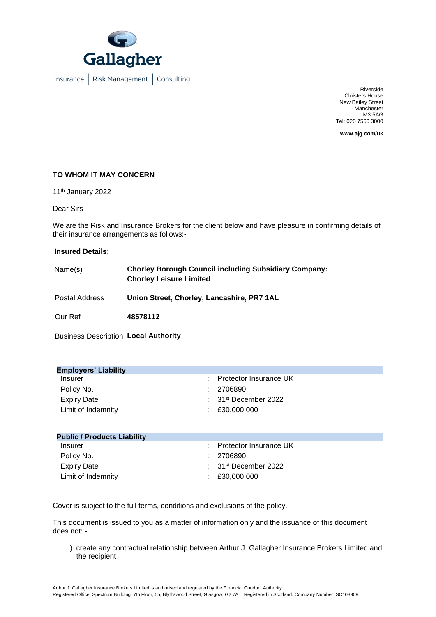

Insurance | Risk Management | Consulting

Riverside Cloisters House New Bailey Street **Manchester** M3 5AG Tel: 020 7560 3000

**www.ajg.com/uk**

## **TO WHOM IT MAY CONCERN**

11th January 2022

Dear Sirs

We are the Risk and Insurance Brokers for the client below and have pleasure in confirming details of their insurance arrangements as follows:-

## **Insured Details:**

| Name(s)        | <b>Chorley Borough Council including Subsidiary Company:</b><br><b>Chorley Leisure Limited</b> |
|----------------|------------------------------------------------------------------------------------------------|
| Postal Address | Union Street, Chorley, Lancashire, PR7 1AL                                                     |
| Our Ref        | 48578112                                                                                       |

Business Description **Local Authority** 

| <b>Employers' Liability</b> |                                             |  |  |  |
|-----------------------------|---------------------------------------------|--|--|--|
| Insurer                     | : Protector Insurance UK                    |  |  |  |
| Policy No.                  | : 2706890                                   |  |  |  |
| <b>Expiry Date</b>          | $\therefore$ 31 <sup>st</sup> December 2022 |  |  |  |
| Limit of Indemnity          | $\pm 230,000,000$                           |  |  |  |
|                             |                                             |  |  |  |

| <b>Public / Products Liability</b> |                                             |
|------------------------------------|---------------------------------------------|
| <b>Insurer</b>                     | : Protector Insurance UK                    |
| Policy No.                         | :2706890                                    |
| <b>Expiry Date</b>                 | $\therefore$ 31 <sup>st</sup> December 2022 |
| Limit of Indemnity                 | $\pm 20.000.000$                            |

Cover is subject to the full terms, conditions and exclusions of the policy.

This document is issued to you as a matter of information only and the issuance of this document does not: -

i) create any contractual relationship between Arthur J. Gallagher Insurance Brokers Limited and the recipient